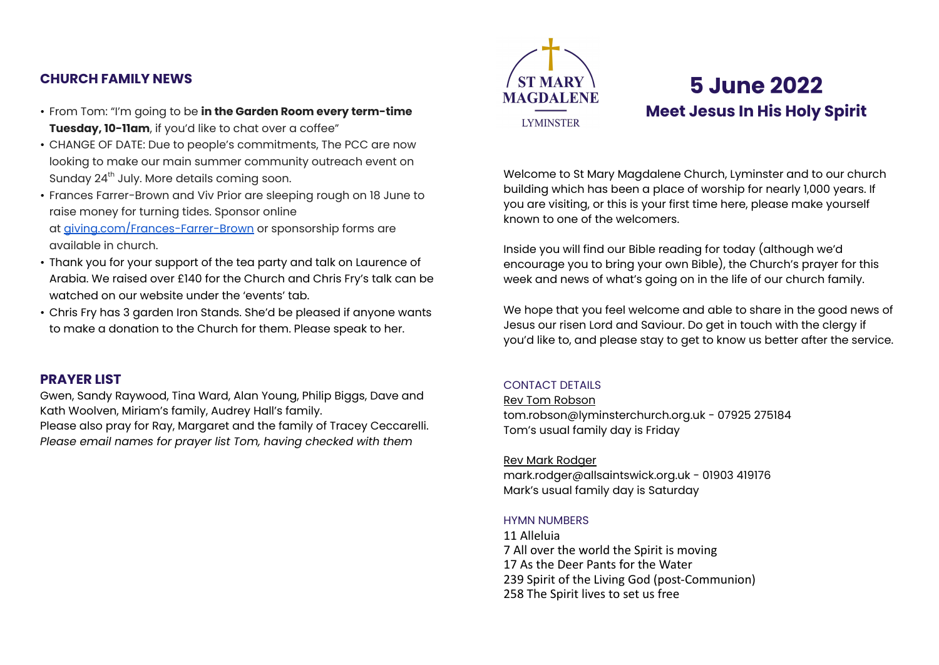# **CHURCH FAMILY NEWS**

- From Tom: "I'm going to be **in the Garden Room every term-time Tuesday, 10-11am**, if you'd like to chat over a coffee"
- CHANGE OF DATE: Due to people's commitments, The PCC are now looking to make our main summer community outreach event on Sunday 24<sup>th</sup> July. More details coming soon.
- Frances Farrer-Brown and Viv Prior are sleeping rough on 18 June to raise money for turning tides. Sponsor online at [giving.com/Frances-Farrer-Brown](http://giving.com/Frances-Farrer-Brown) or sponsorship forms are available in church.
- Thank you for your support of the tea party and talk on Laurence of Arabia. We raised over £140 for the Church and Chris Fry's talk can be watched on our website under the 'events' tab.
- Chris Fry has 3 garden Iron Stands. She'd be pleased if anyone wants to make a donation to the Church for them. Please speak to her.

# **PRAYER LIST**

Gwen, Sandy Raywood, Tina Ward, Alan Young, Philip Biggs, Dave and Kath Woolven, Miriam's family, Audrey Hall's family.

Please also pray for Ray, Margaret and the family of Tracey Ceccarelli. *Please email names for prayer list Tom, having checked with them*



# **5 June 2022 Meet Jesus In His Holy Spirit**

Welcome to St Mary Magdalene Church, Lyminster and to our church building which has been a place of worship for nearly 1,000 years. If you are visiting, or this is your first time here, please make yourself known to one of the welcomers.

Inside you will find our Bible reading for today (although we'd encourage you to bring your own Bible), the Church's prayer for this week and news of what's going on in the life of our church family.

We hope that you feel welcome and able to share in the good news of Jesus our risen Lord and Saviour. Do get in touch with the clergy if you'd like to, and please stay to get to know us better after the service.

# CONTACT DETAILS

Rev Tom Robson [tom.robson@lyminsterchurch.org.uk](mailto:tom.robson@allsaintswick.org.uk) - 07925 275184 Tom's usual family day is Friday

# Rev Mark Rodger

[mark.rodger@allsaintswick.org.uk](mailto:mark.rodger@allsaintswick.org.uk) - 01903 419176 Mark's usual family day is Saturday

# HYMN NUMBERS

11 Alleluia 7 All over the world the Spirit is moving 17 As the Deer Pants for the Water 239 Spirit of the Living God (post-Communion) 258 The Spirit lives to set us free